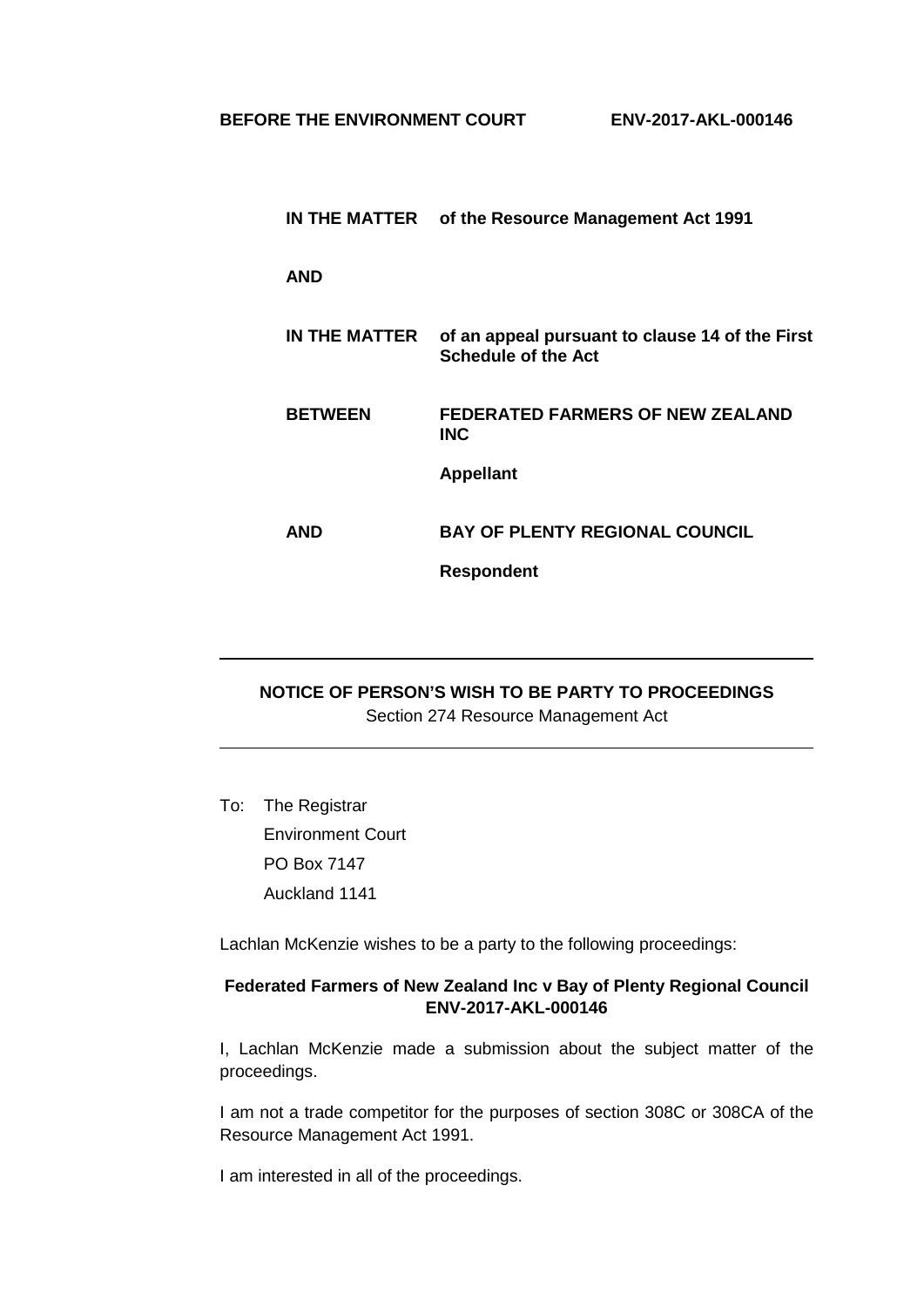|                | IN THE MATTER of the Resource Management Act 1991                             |
|----------------|-------------------------------------------------------------------------------|
| <b>AND</b>     |                                                                               |
| IN THE MATTER  | of an appeal pursuant to clause 14 of the First<br><b>Schedule of the Act</b> |
| <b>BETWEEN</b> | <b>FEDERATED FARMERS OF NEW ZEALAND</b><br>INC.                               |
|                | <b>Appellant</b>                                                              |
| AND            | <b>BAY OF PLENTY REGIONAL COUNCIL</b>                                         |
|                | <b>Respondent</b>                                                             |

## **NOTICE OF PERSON'S WISH TO BE PARTY TO PROCEEDINGS** Section 274 Resource Management Act

To: The Registrar Environment Court PO Box 7147 Auckland 1141

Lachlan McKenzie wishes to be a party to the following proceedings:

## **Federated Farmers of New Zealand Inc v Bay of Plenty Regional Council ENV-2017-AKL-000146**

I, Lachlan McKenzie made a submission about the subject matter of the proceedings.

I am not a trade competitor for the purposes of section 308C or 308CA of the Resource Management Act 1991.

I am interested in all of the proceedings.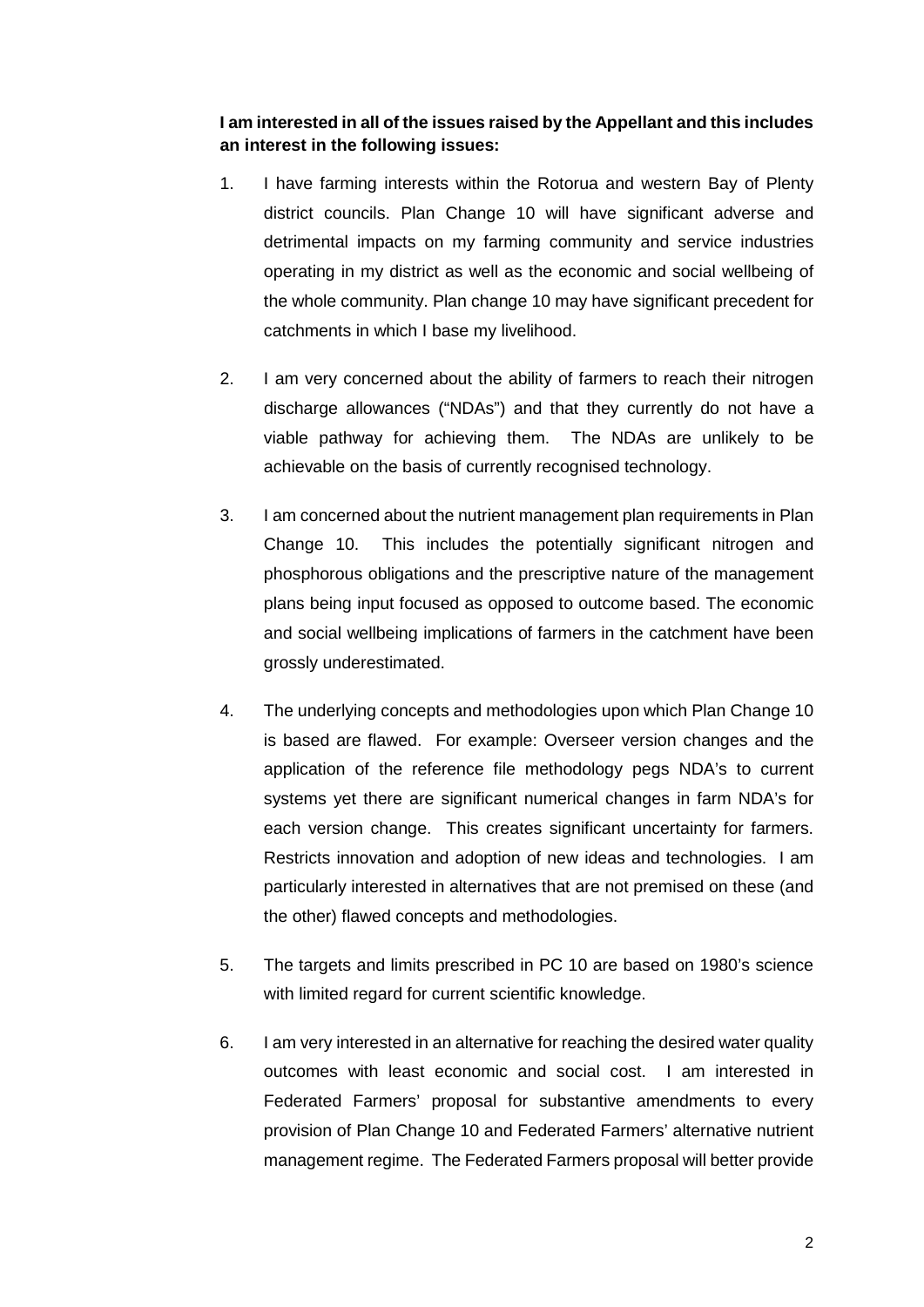## **I am interested in all of the issues raised by the Appellant and this includes an interest in the following issues:**

- 1. I have farming interests within the Rotorua and western Bay of Plenty district councils. Plan Change 10 will have significant adverse and detrimental impacts on my farming community and service industries operating in my district as well as the economic and social wellbeing of the whole community. Plan change 10 may have significant precedent for catchments in which I base my livelihood.
- 2. I am very concerned about the ability of farmers to reach their nitrogen discharge allowances ("NDAs") and that they currently do not have a viable pathway for achieving them. The NDAs are unlikely to be achievable on the basis of currently recognised technology.
- 3. I am concerned about the nutrient management plan requirements in Plan Change 10. This includes the potentially significant nitrogen and phosphorous obligations and the prescriptive nature of the management plans being input focused as opposed to outcome based. The economic and social wellbeing implications of farmers in the catchment have been grossly underestimated.
- 4. The underlying concepts and methodologies upon which Plan Change 10 is based are flawed. For example: Overseer version changes and the application of the reference file methodology pegs NDA's to current systems yet there are significant numerical changes in farm NDA's for each version change. This creates significant uncertainty for farmers. Restricts innovation and adoption of new ideas and technologies. I am particularly interested in alternatives that are not premised on these (and the other) flawed concepts and methodologies.
- 5. The targets and limits prescribed in PC 10 are based on 1980's science with limited regard for current scientific knowledge.
- 6. I am very interested in an alternative for reaching the desired water quality outcomes with least economic and social cost. I am interested in Federated Farmers' proposal for substantive amendments to every provision of Plan Change 10 and Federated Farmers' alternative nutrient management regime. The Federated Farmers proposal will better provide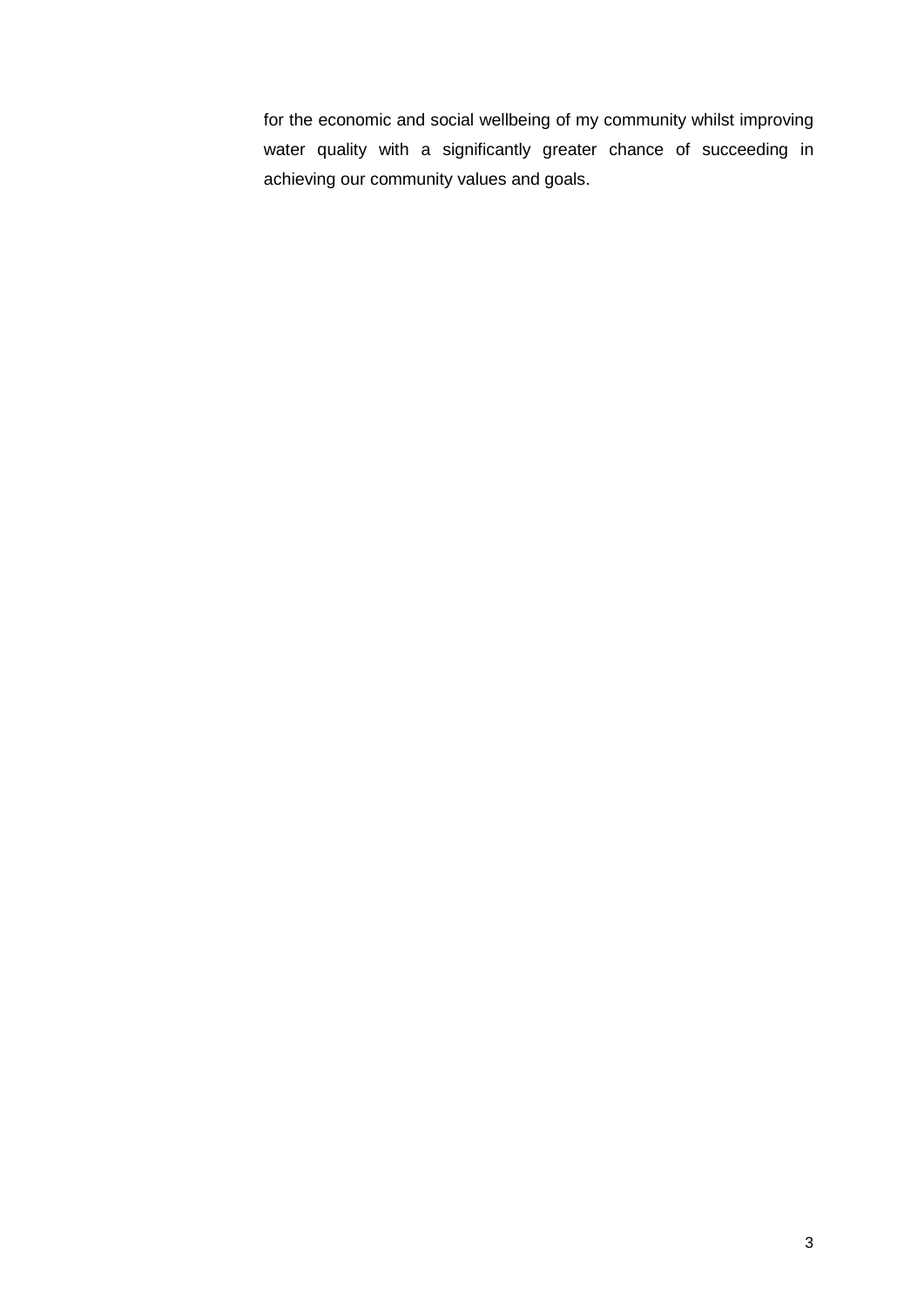for the economic and social wellbeing of my community whilst improving water quality with a significantly greater chance of succeeding in achieving our community values and goals.